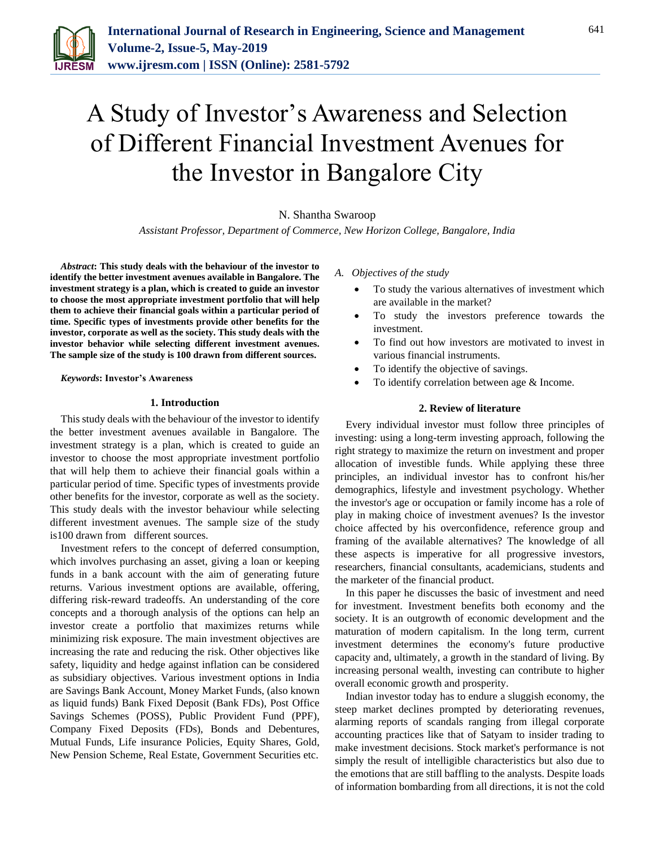

# A Study of Investor's Awareness and Selection of Different Financial Investment Avenues for the Investor in Bangalore City

N. Shantha Swaroop

*Assistant Professor, Department of Commerce, New Horizon College, Bangalore, India*

*Abstract***: This study deals with the behaviour of the investor to identify the better investment avenues available in Bangalore. The investment strategy is a plan, which is created to guide an investor to choose the most appropriate investment portfolio that will help them to achieve their financial goals within a particular period of time. Specific types of investments provide other benefits for the investor, corporate as well as the society. This study deals with the investor behavior while selecting different investment avenues. The sample size of the study is 100 drawn from different sources.**

*Keywords***: Investor's Awareness**

#### **1. Introduction**

This study deals with the behaviour of the investor to identify the better investment avenues available in Bangalore. The investment strategy is a plan, which is created to guide an investor to choose the most appropriate investment portfolio that will help them to achieve their financial goals within a particular period of time. Specific types of investments provide other benefits for the investor, corporate as well as the society. This study deals with the investor behaviour while selecting different investment avenues. The sample size of the study is100 drawn from different sources.

Investment refers to the concept of deferred consumption, which involves purchasing an asset, giving a loan or keeping funds in a bank account with the aim of generating future returns. Various investment options are available, offering, differing risk-reward tradeoffs. An understanding of the core concepts and a thorough analysis of the options can help an investor create a portfolio that maximizes returns while minimizing risk exposure. The main investment objectives are increasing the rate and reducing the risk. Other objectives like safety, liquidity and hedge against inflation can be considered as subsidiary objectives. Various investment options in India are Savings Bank Account, Money Market Funds, (also known as liquid funds) Bank Fixed Deposit (Bank FDs), Post Office Savings Schemes (POSS), Public Provident Fund (PPF), Company Fixed Deposits (FDs), Bonds and Debentures, Mutual Funds, Life insurance Policies, Equity Shares, Gold, New Pension Scheme, Real Estate, Government Securities etc.

*A. Objectives of the study*

- To study the various alternatives of investment which are available in the market?
- To study the investors preference towards the investment.
- To find out how investors are motivated to invest in various financial instruments.
- To identify the objective of savings.
- To identify correlation between age & Income.

#### **2. Review of literature**

Every individual investor must follow three principles of investing: using a long-term investing approach, following the right strategy to maximize the return on investment and proper allocation of investible funds. While applying these three principles, an individual investor has to confront his/her demographics, lifestyle and investment psychology. Whether the investor's age or occupation or family income has a role of play in making choice of investment avenues? Is the investor choice affected by his overconfidence, reference group and framing of the available alternatives? The knowledge of all these aspects is imperative for all progressive investors, researchers, financial consultants, academicians, students and the marketer of the financial product.

In this paper he discusses the basic of investment and need for investment. Investment benefits both economy and the society. It is an outgrowth of economic development and the maturation of modern capitalism. In the long term, current investment determines the economy's future productive capacity and, ultimately, a growth in the standard of living. By increasing personal wealth, investing can contribute to higher overall economic growth and prosperity.

Indian investor today has to endure a sluggish economy, the steep market declines prompted by deteriorating revenues, alarming reports of scandals ranging from illegal corporate accounting practices like that of Satyam to insider trading to make investment decisions. Stock market's performance is not simply the result of intelligible characteristics but also due to the emotions that are still baffling to the analysts. Despite loads of information bombarding from all directions, it is not the cold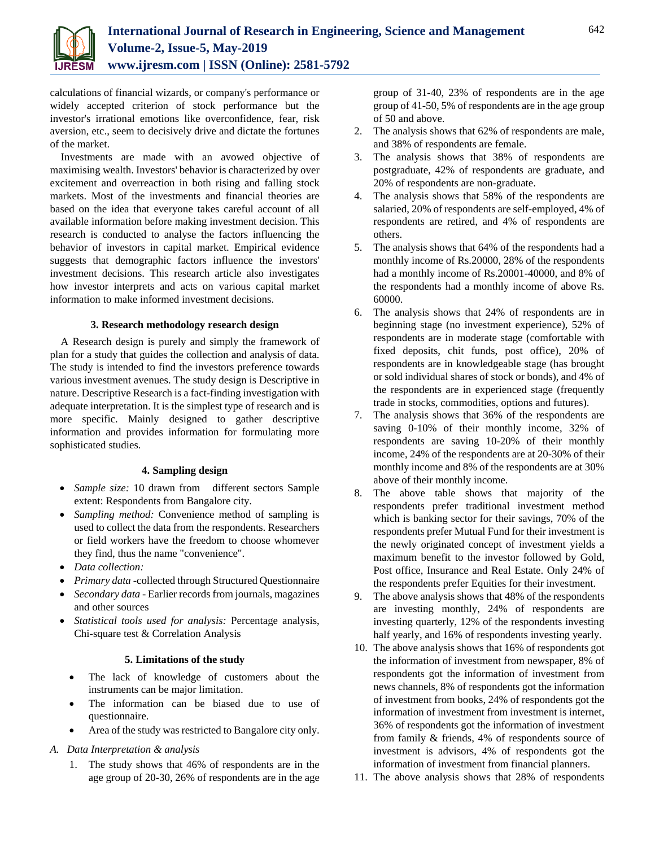

calculations of financial wizards, or company's performance or widely accepted criterion of stock performance but the investor's irrational emotions like overconfidence, fear, risk aversion, etc., seem to decisively drive and dictate the fortunes of the market.

Investments are made with an avowed objective of maximising wealth. Investors' behavior is characterized by over excitement and overreaction in both rising and falling stock markets. Most of the investments and financial theories are based on the idea that everyone takes careful account of all available information before making investment decision. This research is conducted to analyse the factors influencing the behavior of investors in capital market. Empirical evidence suggests that demographic factors influence the investors' investment decisions. This research article also investigates how investor interprets and acts on various capital market information to make informed investment decisions.

## **3. Research methodology research design**

A Research design is purely and simply the framework of plan for a study that guides the collection and analysis of data. The study is intended to find the investors preference towards various investment avenues. The study design is Descriptive in nature. Descriptive Research is a fact-finding investigation with adequate interpretation. It is the simplest type of research and is more specific. Mainly designed to gather descriptive information and provides information for formulating more sophisticated studies.

# **4. Sampling design**

- *Sample size:* 10 drawn from different sectors Sample extent: Respondents from Bangalore city.
- *Sampling method:* Convenience method of sampling is used to collect the data from the respondents. Researchers or field workers have the freedom to choose whomever they find, thus the name "convenience".
- *Data collection:*
- *Primary data -*collected through Structured Questionnaire
- *Secondary data -* Earlier records from journals, magazines and other sources
- *Statistical tools used for analysis:* Percentage analysis, Chi-square test & Correlation Analysis

## **5. Limitations of the study**

- The lack of knowledge of customers about the instruments can be major limitation.
- The information can be biased due to use of questionnaire.
- Area of the study was restricted to Bangalore city only.

# *A. Data Interpretation & analysis*

1. The study shows that 46% of respondents are in the age group of 20-30, 26% of respondents are in the age group of 31-40, 23% of respondents are in the age group of 41-50, 5% of respondents are in the age group of 50 and above.

- 2. The analysis shows that 62% of respondents are male, and 38% of respondents are female.
- 3. The analysis shows that 38% of respondents are postgraduate, 42% of respondents are graduate, and 20% of respondents are non-graduate.
- 4. The analysis shows that 58% of the respondents are salaried, 20% of respondents are self-employed, 4% of respondents are retired, and 4% of respondents are others.
- 5. The analysis shows that 64% of the respondents had a monthly income of Rs.20000, 28% of the respondents had a monthly income of Rs.20001-40000, and 8% of the respondents had a monthly income of above Rs. 60000.
- 6. The analysis shows that 24% of respondents are in beginning stage (no investment experience), 52% of respondents are in moderate stage (comfortable with fixed deposits, chit funds, post office), 20% of respondents are in knowledgeable stage (has brought or sold individual shares of stock or bonds), and 4% of the respondents are in experienced stage (frequently trade in stocks, commodities, options and futures).
- 7. The analysis shows that 36% of the respondents are saving 0-10% of their monthly income, 32% of respondents are saving 10-20% of their monthly income, 24% of the respondents are at 20-30% of their monthly income and 8% of the respondents are at 30% above of their monthly income.
- 8. The above table shows that majority of the respondents prefer traditional investment method which is banking sector for their savings, 70% of the respondents prefer Mutual Fund for their investment is the newly originated concept of investment yields a maximum benefit to the investor followed by Gold, Post office, Insurance and Real Estate. Only 24% of the respondents prefer Equities for their investment.
- 9. The above analysis shows that 48% of the respondents are investing monthly, 24% of respondents are investing quarterly, 12% of the respondents investing half yearly, and 16% of respondents investing yearly.
- 10. The above analysis shows that 16% of respondents got the information of investment from newspaper, 8% of respondents got the information of investment from news channels, 8% of respondents got the information of investment from books, 24% of respondents got the information of investment from investment is internet, 36% of respondents got the information of investment from family & friends, 4% of respondents source of investment is advisors, 4% of respondents got the information of investment from financial planners.
- 11. The above analysis shows that 28% of respondents